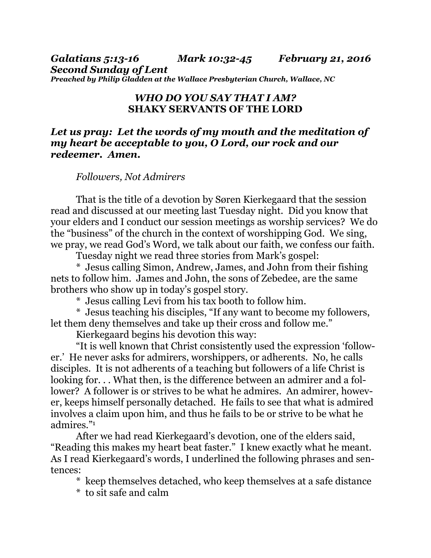*Galatians 5:13-16 Mark 10:32-45 February 21, 2016 Second Sunday of Lent Preached by Philip Gladden at the Wallace Presbyterian Church, Wallace, NC* 

## *WHO DO YOU SAY THAT I AM?*  **SHAKY SERVANTS OF THE LORD**

## *Let us pray: Let the words of my mouth and the meditation of my heart be acceptable to you, O Lord, our rock and our redeemer. Amen.*

## *Followers, Not Admirers*

That is the title of a devotion by Søren Kierkegaard that the session read and discussed at our meeting last Tuesday night. Did you know that your elders and I conduct our session meetings as worship services? We do the "business" of the church in the context of worshipping God. We sing, we pray, we read God's Word, we talk about our faith, we confess our faith.

Tuesday night we read three stories from Mark's gospel:

 \* Jesus calling Simon, Andrew, James, and John from their fishing nets to follow him. James and John, the sons of Zebedee, are the same brothers who show up in today's gospel story.

\* Jesus calling Levi from his tax booth to follow him.

 \* Jesus teaching his disciples, "If any want to become my followers, let them deny themselves and take up their cross and follow me."

Kierkegaard begins his devotion this way:

 "It is well known that Christ consistently used the expression 'follower.' He never asks for admirers, worshippers, or adherents. No, he calls disciples. It is not adherents of a teaching but followers of a life Christ is looking for... What then, is the difference between an admirer and a follower? A follower is or strives to be what he admires. An admirer, however, keeps himself personally detached. He fails to see that what is admired involves a claim upon him, and thus he fails to be or strive to be what he admires."1

 After we had read Kierkegaard's devotion, one of the elders said, "Reading this makes my heart beat faster." I knew exactly what he meant. As I read Kierkegaard's words, I underlined the following phrases and sentences:

\* keep themselves detached, who keep themselves at a safe distance

\* to sit safe and calm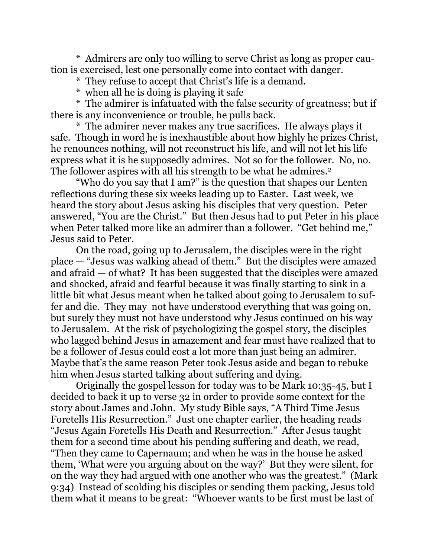\* Admirers are only too willing to serve Christ as long as proper caution is exercised, lest one personally come into contact with danger.

\* They refuse to accept that Christ's life is a demand.

\* when all he is doing is playing it safe

 \* The admirer is infatuated with the false security of greatness; but if there is any inconvenience or trouble, he pulls back.

 \* The admirer never makes any true sacrifices. He always plays it safe. Though in word he is inexhaustible about how highly he prizes Christ, he renounces nothing, will not reconstruct his life, and will not let his life express what it is he supposedly admires. Not so for the follower. No, no. The follower aspires with all his strength to be what he admires.<sup>2</sup>

 "Who do you say that I am?" is the question that shapes our Lenten reflections during these six weeks leading up to Easter. Last week, we heard the story about Jesus asking his disciples that very question. Peter answered, "You are the Christ." But then Jesus had to put Peter in his place when Peter talked more like an admirer than a follower. "Get behind me," Jesus said to Peter.

 On the road, going up to Jerusalem, the disciples were in the right place — "Jesus was walking ahead of them." But the disciples were amazed and afraid — of what? It has been suggested that the disciples were amazed and shocked, afraid and fearful because it was finally starting to sink in a little bit what Jesus meant when he talked about going to Jerusalem to suffer and die. They may not have understood everything that was going on, but surely they must not have understood why Jesus continued on his way to Jerusalem. At the risk of psychologizing the gospel story, the disciples who lagged behind Jesus in amazement and fear must have realized that to be a follower of Jesus could cost a lot more than just being an admirer. Maybe that's the same reason Peter took Jesus aside and began to rebuke him when Jesus started talking about suffering and dying.

 Originally the gospel lesson for today was to be Mark 10:35-45, but I decided to back it up to verse 32 in order to provide some context for the story about James and John. My study Bible says, "A Third Time Jesus Foretells His Resurrection." Just one chapter earlier, the heading reads "Jesus Again Foretells His Death and Resurrection." After Jesus taught them for a second time about his pending suffering and death, we read, "Then they came to Capernaum; and when he was in the house he asked them, 'What were you arguing about on the way?' But they were silent, for on the way they had argued with one another who was the greatest." (Mark 9:34) Instead of scolding his disciples or sending them packing, Jesus told them what it means to be great: "Whoever wants to be first must be last of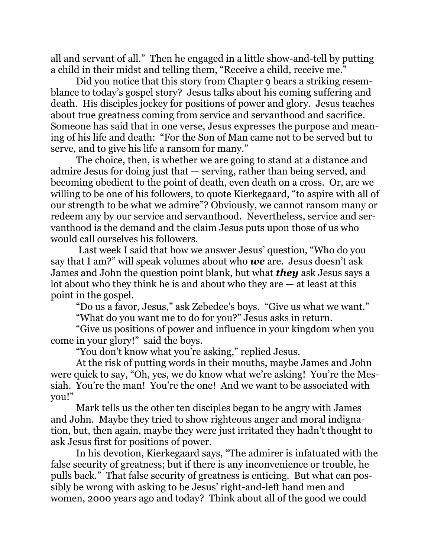all and servant of all." Then he engaged in a little show-and-tell by putting a child in their midst and telling them, "Receive a child, receive me."

 Did you notice that this story from Chapter 9 bears a striking resemblance to today's gospel story? Jesus talks about his coming suffering and death. His disciples jockey for positions of power and glory. Jesus teaches about true greatness coming from service and servanthood and sacrifice. Someone has said that in one verse, Jesus expresses the purpose and meaning of his life and death: "For the Son of Man came not to be served but to serve, and to give his life a ransom for many."

 The choice, then, is whether we are going to stand at a distance and admire Jesus for doing just that — serving, rather than being served, and becoming obedient to the point of death, even death on a cross. Or, are we willing to be one of his followers, to quote Kierkegaard, "to aspire with all of our strength to be what we admire"? Obviously, we cannot ransom many or redeem any by our service and servanthood. Nevertheless, service and servanthood is the demand and the claim Jesus puts upon those of us who would call ourselves his followers.

 Last week I said that how we answer Jesus' question, "Who do you say that I am?" will speak volumes about who *we* are. Jesus doesn't ask James and John the question point blank, but what *they* ask Jesus says a lot about who they think he is and about who they are — at least at this point in the gospel.

"Do us a favor, Jesus," ask Zebedee's boys. "Give us what we want."

"What do you want me to do for you?" Jesus asks in return.

 "Give us positions of power and influence in your kingdom when you come in your glory!" said the boys.

"You don't know what you're asking," replied Jesus.

 At the risk of putting words in their mouths, maybe James and John were quick to say, "Oh, yes, we do know what we're asking! You're the Messiah. You're the man! You're the one! And we want to be associated with you!"

 Mark tells us the other ten disciples began to be angry with James and John. Maybe they tried to show righteous anger and moral indignation, but, then again, maybe they were just irritated they hadn't thought to ask Jesus first for positions of power.

 In his devotion, Kierkegaard says, "The admirer is infatuated with the false security of greatness; but if there is any inconvenience or trouble, he pulls back." That false security of greatness is enticing. But what can possibly be wrong with asking to be Jesus' right-and-left hand men and women, 2000 years ago and today? Think about all of the good we could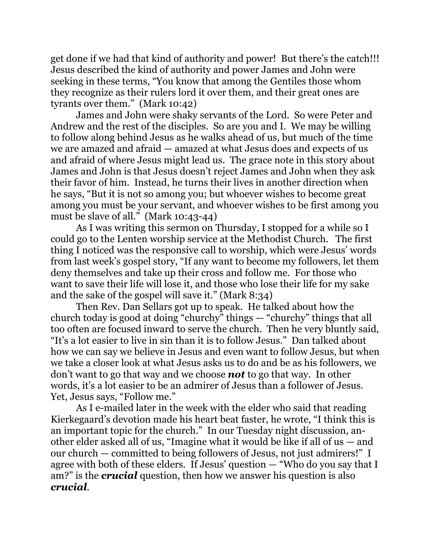get done if we had that kind of authority and power! But there's the catch!!! Jesus described the kind of authority and power James and John were seeking in these terms, "You know that among the Gentiles those whom they recognize as their rulers lord it over them, and their great ones are tyrants over them." (Mark 10:42)

 James and John were shaky servants of the Lord. So were Peter and Andrew and the rest of the disciples. So are you and I. We may be willing to follow along behind Jesus as he walks ahead of us, but much of the time we are amazed and afraid — amazed at what Jesus does and expects of us and afraid of where Jesus might lead us. The grace note in this story about James and John is that Jesus doesn't reject James and John when they ask their favor of him. Instead, he turns their lives in another direction when he says, "But it is not so among you; but whoever wishes to become great among you must be your servant, and whoever wishes to be first among you must be slave of all." (Mark 10:43-44)

 As I was writing this sermon on Thursday, I stopped for a while so I could go to the Lenten worship service at the Methodist Church. The first thing I noticed was the responsive call to worship, which were Jesus' words from last week's gospel story, "If any want to become my followers, let them deny themselves and take up their cross and follow me. For those who want to save their life will lose it, and those who lose their life for my sake and the sake of the gospel will save it." (Mark 8:34)

 Then Rev. Dan Sellars got up to speak. He talked about how the church today is good at doing "churchy" things — "churchy" things that all too often are focused inward to serve the church. Then he very bluntly said, "It's a lot easier to live in sin than it is to follow Jesus." Dan talked about how we can say we believe in Jesus and even want to follow Jesus, but when we take a closer look at what Jesus asks us to do and be as his followers, we don't want to go that way and we choose *not* to go that way. In other words, it's a lot easier to be an admirer of Jesus than a follower of Jesus. Yet, Jesus says, "Follow me."

 As I e-mailed later in the week with the elder who said that reading Kierkegaard's devotion made his heart beat faster, he wrote, "I think this is an important topic for the church." In our Tuesday night discussion, another elder asked all of us, "Imagine what it would be like if all of us — and our church — committed to being followers of Jesus, not just admirers!" I agree with both of these elders. If Jesus' question — "Who do you say that I am?" is the *crucial* question, then how we answer his question is also *crucial*.